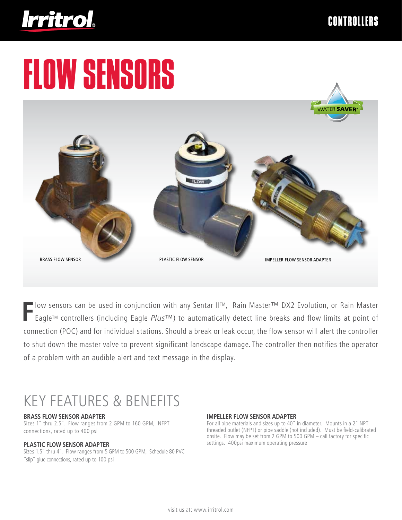

# FLOW SENSORS



**F**low sensors can be used in conjunction with any Sentar IITM, Rain Master™ DX2 Evolution, or Rain Master EagleTM controllers (including Eagle *Plus*™) to automatically detect line breaks and flow limits at point of connection (POC) and for individual stations. Should a break or leak occur, the flow sensor will alert the controller to shut down the master valve to prevent significant landscape damage. The controller then notifies the operator of a problem with an audible alert and text message in the display.

# KEY FEATURES & BENEFITS

#### **BRASS FLOW SENSOR ADAPTER**

Sizes 1" thru 2.5". Flow ranges from 2 GPM to 160 GPM, NFPT connections, rated up to 400 psi

#### **plastic flow sensor adaPter**

Sizes 1.5" thru 4". Flow ranges from 5 GPM to 500 GPM, Schedule 80 PVC "slip" glue connections, rated up to 100 psi

#### **IMPELLER FLOW SENSOR ADAPTER**

For all pipe materials and sizes up to 40" in diameter. Mounts in a 2" NPT threaded outlet (NFPT) or pipe saddle (not included). Must be field-calibrated onsite. Flow may be set from 2 GPM to 500 GPM – call factory for specific settings. 400psi maximum operating pressure